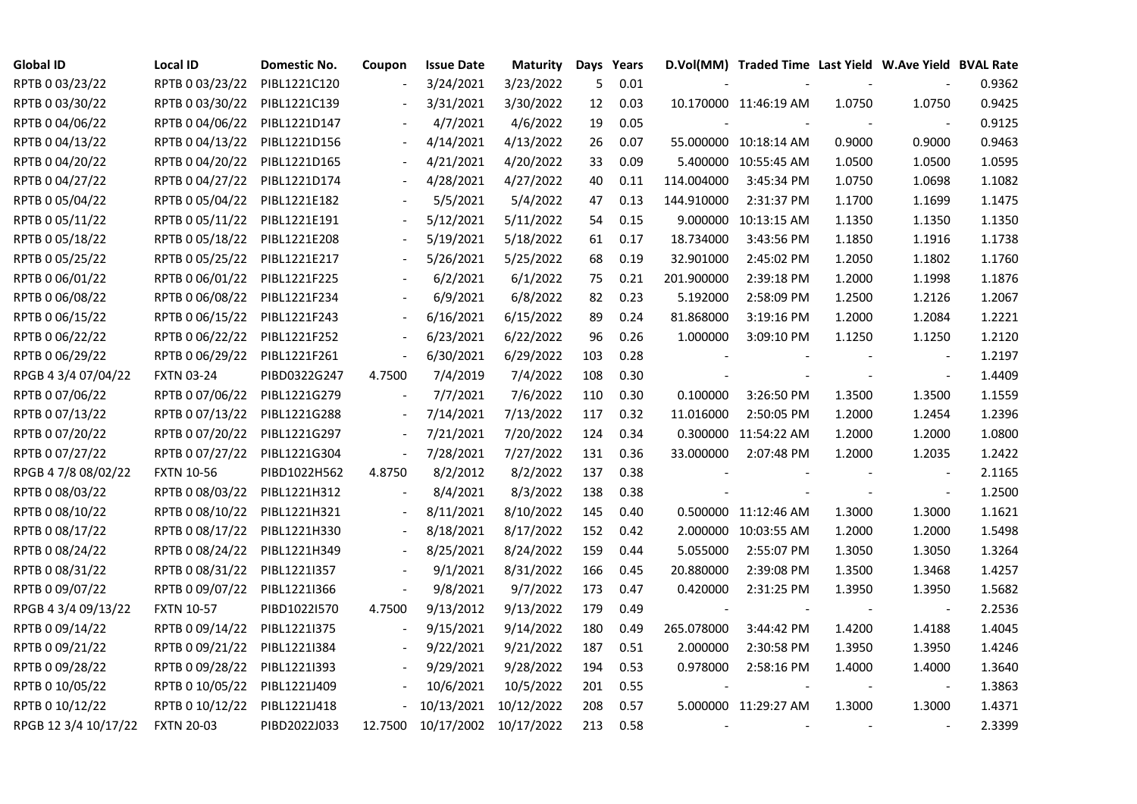| <b>Global ID</b>     | <b>Local ID</b>   | Domestic No. | Coupon                   | <b>Issue Date</b>     | <b>Maturity</b> |     | Days Years |            | D.Vol(MM) Traded Time Last Yield W.Ave Yield BVAL Rate |        |                          |        |
|----------------------|-------------------|--------------|--------------------------|-----------------------|-----------------|-----|------------|------------|--------------------------------------------------------|--------|--------------------------|--------|
| RPTB 0 03/23/22      | RPTB 0 03/23/22   | PIBL1221C120 |                          | 3/24/2021             | 3/23/2022       | 5   | 0.01       |            |                                                        |        |                          | 0.9362 |
| RPTB 0 03/30/22      | RPTB 0 03/30/22   | PIBL1221C139 |                          | 3/31/2021             | 3/30/2022       | 12  | 0.03       |            | 10.170000 11:46:19 AM                                  | 1.0750 | 1.0750                   | 0.9425 |
| RPTB 0 04/06/22      | RPTB 0 04/06/22   | PIBL1221D147 |                          | 4/7/2021              | 4/6/2022        | 19  | 0.05       |            |                                                        |        |                          | 0.9125 |
| RPTB 0 04/13/22      | RPTB 0 04/13/22   | PIBL1221D156 | $\overline{\phantom{a}}$ | 4/14/2021             | 4/13/2022       | 26  | 0.07       |            | 55.000000 10:18:14 AM                                  | 0.9000 | 0.9000                   | 0.9463 |
| RPTB 0 04/20/22      | RPTB 0 04/20/22   | PIBL1221D165 | $\overline{\phantom{a}}$ | 4/21/2021             | 4/20/2022       | 33  | 0.09       |            | 5.400000 10:55:45 AM                                   | 1.0500 | 1.0500                   | 1.0595 |
| RPTB 0 04/27/22      | RPTB 0 04/27/22   | PIBL1221D174 |                          | 4/28/2021             | 4/27/2022       | 40  | 0.11       | 114.004000 | 3:45:34 PM                                             | 1.0750 | 1.0698                   | 1.1082 |
| RPTB 0 05/04/22      | RPTB 0 05/04/22   | PIBL1221E182 |                          | 5/5/2021              | 5/4/2022        | 47  | 0.13       | 144.910000 | 2:31:37 PM                                             | 1.1700 | 1.1699                   | 1.1475 |
| RPTB 0 05/11/22      | RPTB 0 05/11/22   | PIBL1221E191 |                          | 5/12/2021             | 5/11/2022       | 54  | 0.15       |            | 9.000000 10:13:15 AM                                   | 1.1350 | 1.1350                   | 1.1350 |
| RPTB 0 05/18/22      | RPTB 0 05/18/22   | PIBL1221E208 |                          | 5/19/2021             | 5/18/2022       | 61  | 0.17       | 18.734000  | 3:43:56 PM                                             | 1.1850 | 1.1916                   | 1.1738 |
| RPTB 0 05/25/22      | RPTB 0 05/25/22   | PIBL1221E217 |                          | 5/26/2021             | 5/25/2022       | 68  | 0.19       | 32.901000  | 2:45:02 PM                                             | 1.2050 | 1.1802                   | 1.1760 |
| RPTB 0 06/01/22      | RPTB 0 06/01/22   | PIBL1221F225 | $\overline{\phantom{a}}$ | 6/2/2021              | 6/1/2022        | 75  | 0.21       | 201.900000 | 2:39:18 PM                                             | 1.2000 | 1.1998                   | 1.1876 |
| RPTB 0 06/08/22      | RPTB 0 06/08/22   | PIBL1221F234 |                          | 6/9/2021              | 6/8/2022        | 82  | 0.23       | 5.192000   | 2:58:09 PM                                             | 1.2500 | 1.2126                   | 1.2067 |
| RPTB 0 06/15/22      | RPTB 0 06/15/22   | PIBL1221F243 | $\frac{1}{2}$            | 6/16/2021             | 6/15/2022       | 89  | 0.24       | 81.868000  | 3:19:16 PM                                             | 1.2000 | 1.2084                   | 1.2221 |
| RPTB 0 06/22/22      | RPTB 0 06/22/22   | PIBL1221F252 |                          | 6/23/2021             | 6/22/2022       | 96  | 0.26       | 1.000000   | 3:09:10 PM                                             | 1.1250 | 1.1250                   | 1.2120 |
| RPTB 0 06/29/22      | RPTB 0 06/29/22   | PIBL1221F261 | $\overline{a}$           | 6/30/2021             | 6/29/2022       | 103 | 0.28       |            |                                                        |        | $\blacksquare$           | 1.2197 |
| RPGB 4 3/4 07/04/22  | <b>FXTN 03-24</b> | PIBD0322G247 | 4.7500                   | 7/4/2019              | 7/4/2022        | 108 | 0.30       |            |                                                        |        | $\blacksquare$           | 1.4409 |
| RPTB 0 07/06/22      | RPTB 0 07/06/22   | PIBL1221G279 |                          | 7/7/2021              | 7/6/2022        | 110 | 0.30       | 0.100000   | 3:26:50 PM                                             | 1.3500 | 1.3500                   | 1.1559 |
| RPTB 0 07/13/22      | RPTB 0 07/13/22   | PIBL1221G288 | $\overline{\phantom{a}}$ | 7/14/2021             | 7/13/2022       | 117 | 0.32       | 11.016000  | 2:50:05 PM                                             | 1.2000 | 1.2454                   | 1.2396 |
| RPTB 0 07/20/22      | RPTB 0 07/20/22   | PIBL1221G297 | $\Box$                   | 7/21/2021             | 7/20/2022       | 124 | 0.34       |            | 0.300000 11:54:22 AM                                   | 1.2000 | 1.2000                   | 1.0800 |
| RPTB 0 07/27/22      | RPTB 0 07/27/22   | PIBL1221G304 | $\Box$                   | 7/28/2021             | 7/27/2022       | 131 | 0.36       | 33.000000  | 2:07:48 PM                                             | 1.2000 | 1.2035                   | 1.2422 |
| RPGB 4 7/8 08/02/22  | <b>FXTN 10-56</b> | PIBD1022H562 | 4.8750                   | 8/2/2012              | 8/2/2022        | 137 | 0.38       |            |                                                        |        | $\overline{\phantom{a}}$ | 2.1165 |
| RPTB 0 08/03/22      | RPTB 0 08/03/22   | PIBL1221H312 |                          | 8/4/2021              | 8/3/2022        | 138 | 0.38       |            |                                                        |        | $\blacksquare$           | 1.2500 |
| RPTB 0 08/10/22      | RPTB 0 08/10/22   | PIBL1221H321 |                          | 8/11/2021             | 8/10/2022       | 145 | 0.40       |            | 0.500000 11:12:46 AM                                   | 1.3000 | 1.3000                   | 1.1621 |
| RPTB 0 08/17/22      | RPTB 0 08/17/22   | PIBL1221H330 |                          | 8/18/2021             | 8/17/2022       | 152 | 0.42       |            | 2.000000 10:03:55 AM                                   | 1.2000 | 1.2000                   | 1.5498 |
| RPTB 0 08/24/22      | RPTB 0 08/24/22   | PIBL1221H349 | $\overline{\phantom{a}}$ | 8/25/2021             | 8/24/2022       | 159 | 0.44       | 5.055000   | 2:55:07 PM                                             | 1.3050 | 1.3050                   | 1.3264 |
| RPTB 0 08/31/22      | RPTB 0 08/31/22   | PIBL1221I357 |                          | 9/1/2021              | 8/31/2022       | 166 | 0.45       | 20.880000  | 2:39:08 PM                                             | 1.3500 | 1.3468                   | 1.4257 |
| RPTB 0 09/07/22      | RPTB 0 09/07/22   | PIBL1221I366 | $\blacksquare$           | 9/8/2021              | 9/7/2022        | 173 | 0.47       | 0.420000   | 2:31:25 PM                                             | 1.3950 | 1.3950                   | 1.5682 |
| RPGB 4 3/4 09/13/22  | <b>FXTN 10-57</b> | PIBD1022I570 | 4.7500                   | 9/13/2012             | 9/13/2022       | 179 | 0.49       |            |                                                        |        | $\overline{\phantom{a}}$ | 2.2536 |
| RPTB 0 09/14/22      | RPTB 0 09/14/22   | PIBL1221I375 |                          | 9/15/2021             | 9/14/2022       | 180 | 0.49       | 265.078000 | 3:44:42 PM                                             | 1.4200 | 1.4188                   | 1.4045 |
| RPTB 0 09/21/22      | RPTB 0 09/21/22   | PIBL1221I384 |                          | 9/22/2021             | 9/21/2022       | 187 | 0.51       | 2.000000   | 2:30:58 PM                                             | 1.3950 | 1.3950                   | 1.4246 |
| RPTB 0 09/28/22      | RPTB 0 09/28/22   | PIBL1221I393 |                          | 9/29/2021             | 9/28/2022       | 194 | 0.53       | 0.978000   | 2:58:16 PM                                             | 1.4000 | 1.4000                   | 1.3640 |
| RPTB 0 10/05/22      | RPTB 0 10/05/22   | PIBL1221J409 |                          | 10/6/2021             | 10/5/2022       | 201 | 0.55       |            |                                                        |        |                          | 1.3863 |
| RPTB 0 10/12/22      | RPTB 0 10/12/22   | PIBL1221J418 |                          | 10/13/2021            | 10/12/2022      | 208 | 0.57       |            | 5.000000 11:29:27 AM                                   | 1.3000 | 1.3000                   | 1.4371 |
| RPGB 12 3/4 10/17/22 | <b>FXTN 20-03</b> | PIBD2022J033 | 12.7500                  | 10/17/2002 10/17/2022 |                 | 213 | 0.58       |            |                                                        |        |                          | 2.3399 |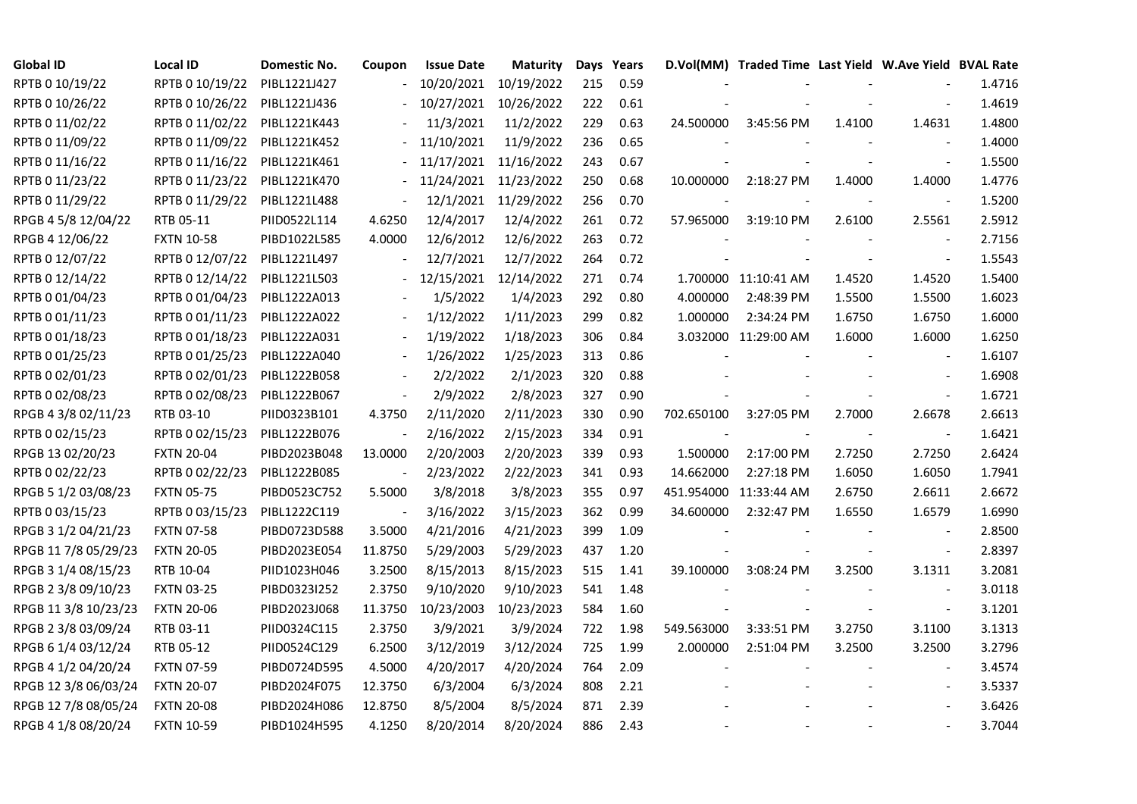| <b>Global ID</b>     | <b>Local ID</b>   | Domestic No. | Coupon                   | <b>Issue Date</b>     | <b>Maturity</b>      |     | Days Years |            | D.Vol(MM) Traded Time Last Yield W.Ave Yield BVAL Rate |        |                          |        |
|----------------------|-------------------|--------------|--------------------------|-----------------------|----------------------|-----|------------|------------|--------------------------------------------------------|--------|--------------------------|--------|
| RPTB 0 10/19/22      | RPTB 0 10/19/22   | PIBL1221J427 |                          | 10/20/2021            | 10/19/2022           | 215 | 0.59       |            |                                                        |        |                          | 1.4716 |
| RPTB 0 10/26/22      | RPTB 0 10/26/22   | PIBL1221J436 |                          | 10/27/2021            | 10/26/2022           | 222 | 0.61       |            |                                                        |        |                          | 1.4619 |
| RPTB 0 11/02/22      | RPTB 0 11/02/22   | PIBL1221K443 |                          | 11/3/2021             | 11/2/2022            | 229 | 0.63       | 24.500000  | 3:45:56 PM                                             | 1.4100 | 1.4631                   | 1.4800 |
| RPTB 0 11/09/22      | RPTB 0 11/09/22   | PIBL1221K452 |                          | 11/10/2021            | 11/9/2022            | 236 | 0.65       |            |                                                        |        | $\sim$                   | 1.4000 |
| RPTB 0 11/16/22      | RPTB 0 11/16/22   | PIBL1221K461 |                          | 11/17/2021            | 11/16/2022           | 243 | 0.67       |            |                                                        |        | $\overline{\phantom{a}}$ | 1.5500 |
| RPTB 0 11/23/22      | RPTB 0 11/23/22   | PIBL1221K470 |                          | 11/24/2021 11/23/2022 |                      | 250 | 0.68       | 10.000000  | 2:18:27 PM                                             | 1.4000 | 1.4000                   | 1.4776 |
| RPTB 0 11/29/22      | RPTB 0 11/29/22   | PIBL1221L488 | $\overline{\phantom{a}}$ |                       | 12/1/2021 11/29/2022 | 256 | 0.70       |            |                                                        |        | $\sim$                   | 1.5200 |
| RPGB 4 5/8 12/04/22  | RTB 05-11         | PIID0522L114 | 4.6250                   | 12/4/2017             | 12/4/2022            | 261 | 0.72       | 57.965000  | 3:19:10 PM                                             | 2.6100 | 2.5561                   | 2.5912 |
| RPGB 4 12/06/22      | <b>FXTN 10-58</b> | PIBD1022L585 | 4.0000                   | 12/6/2012             | 12/6/2022            | 263 | 0.72       |            |                                                        |        |                          | 2.7156 |
| RPTB 0 12/07/22      | RPTB 0 12/07/22   | PIBL1221L497 |                          | 12/7/2021             | 12/7/2022            | 264 | 0.72       |            |                                                        |        | $\blacksquare$           | 1.5543 |
| RPTB 0 12/14/22      | RPTB 0 12/14/22   | PIBL1221L503 |                          | 12/15/2021            | 12/14/2022           | 271 | 0.74       |            | 1.700000 11:10:41 AM                                   | 1.4520 | 1.4520                   | 1.5400 |
| RPTB 0 01/04/23      | RPTB 0 01/04/23   | PIBL1222A013 |                          | 1/5/2022              | 1/4/2023             | 292 | 0.80       | 4.000000   | 2:48:39 PM                                             | 1.5500 | 1.5500                   | 1.6023 |
| RPTB 0 01/11/23      | RPTB 0 01/11/23   | PIBL1222A022 |                          | 1/12/2022             | 1/11/2023            | 299 | 0.82       | 1.000000   | 2:34:24 PM                                             | 1.6750 | 1.6750                   | 1.6000 |
| RPTB 0 01/18/23      | RPTB 0 01/18/23   | PIBL1222A031 |                          | 1/19/2022             | 1/18/2023            | 306 | 0.84       |            | 3.032000 11:29:00 AM                                   | 1.6000 | 1.6000                   | 1.6250 |
| RPTB 0 01/25/23      | RPTB 0 01/25/23   | PIBL1222A040 |                          | 1/26/2022             | 1/25/2023            | 313 | 0.86       |            |                                                        |        |                          | 1.6107 |
| RPTB 0 02/01/23      | RPTB 0 02/01/23   | PIBL1222B058 |                          | 2/2/2022              | 2/1/2023             | 320 | 0.88       |            |                                                        |        |                          | 1.6908 |
| RPTB 0 02/08/23      | RPTB 0 02/08/23   | PIBL1222B067 | $\overline{\phantom{a}}$ | 2/9/2022              | 2/8/2023             | 327 | 0.90       |            |                                                        |        | $\overline{\phantom{a}}$ | 1.6721 |
| RPGB 4 3/8 02/11/23  | RTB 03-10         | PIID0323B101 | 4.3750                   | 2/11/2020             | 2/11/2023            | 330 | 0.90       | 702.650100 | 3:27:05 PM                                             | 2.7000 | 2.6678                   | 2.6613 |
| RPTB 0 02/15/23      | RPTB 0 02/15/23   | PIBL1222B076 | $\blacksquare$           | 2/16/2022             | 2/15/2023            | 334 | 0.91       |            |                                                        |        | $\blacksquare$           | 1.6421 |
| RPGB 13 02/20/23     | <b>FXTN 20-04</b> | PIBD2023B048 | 13.0000                  | 2/20/2003             | 2/20/2023            | 339 | 0.93       | 1.500000   | 2:17:00 PM                                             | 2.7250 | 2.7250                   | 2.6424 |
| RPTB 0 02/22/23      | RPTB 0 02/22/23   | PIBL1222B085 | $\blacksquare$           | 2/23/2022             | 2/22/2023            | 341 | 0.93       | 14.662000  | 2:27:18 PM                                             | 1.6050 | 1.6050                   | 1.7941 |
| RPGB 5 1/2 03/08/23  | <b>FXTN 05-75</b> | PIBD0523C752 | 5.5000                   | 3/8/2018              | 3/8/2023             | 355 | 0.97       |            | 451.954000 11:33:44 AM                                 | 2.6750 | 2.6611                   | 2.6672 |
| RPTB 0 03/15/23      | RPTB 0 03/15/23   | PIBL1222C119 |                          | 3/16/2022             | 3/15/2023            | 362 | 0.99       | 34.600000  | 2:32:47 PM                                             | 1.6550 | 1.6579                   | 1.6990 |
| RPGB 3 1/2 04/21/23  | <b>FXTN 07-58</b> | PIBD0723D588 | 3.5000                   | 4/21/2016             | 4/21/2023            | 399 | 1.09       |            |                                                        |        |                          | 2.8500 |
| RPGB 11 7/8 05/29/23 | <b>FXTN 20-05</b> | PIBD2023E054 | 11.8750                  | 5/29/2003             | 5/29/2023            | 437 | 1.20       |            |                                                        |        | $\overline{\phantom{a}}$ | 2.8397 |
| RPGB 3 1/4 08/15/23  | RTB 10-04         | PIID1023H046 | 3.2500                   | 8/15/2013             | 8/15/2023            | 515 | 1.41       | 39.100000  | 3:08:24 PM                                             | 3.2500 | 3.1311                   | 3.2081 |
| RPGB 2 3/8 09/10/23  | <b>FXTN 03-25</b> | PIBD0323I252 | 2.3750                   | 9/10/2020             | 9/10/2023            | 541 | 1.48       |            |                                                        |        | $\blacksquare$           | 3.0118 |
| RPGB 11 3/8 10/23/23 | <b>FXTN 20-06</b> | PIBD2023J068 | 11.3750                  | 10/23/2003            | 10/23/2023           | 584 | 1.60       |            |                                                        |        | $\omega$                 | 3.1201 |
| RPGB 2 3/8 03/09/24  | RTB 03-11         | PIID0324C115 | 2.3750                   | 3/9/2021              | 3/9/2024             | 722 | 1.98       | 549.563000 | 3:33:51 PM                                             | 3.2750 | 3.1100                   | 3.1313 |
| RPGB 6 1/4 03/12/24  | RTB 05-12         | PIID0524C129 | 6.2500                   | 3/12/2019             | 3/12/2024            | 725 | 1.99       | 2.000000   | 2:51:04 PM                                             | 3.2500 | 3.2500                   | 3.2796 |
| RPGB 4 1/2 04/20/24  | <b>FXTN 07-59</b> | PIBD0724D595 | 4.5000                   | 4/20/2017             | 4/20/2024            | 764 | 2.09       |            |                                                        |        |                          | 3.4574 |
| RPGB 12 3/8 06/03/24 | <b>FXTN 20-07</b> | PIBD2024F075 | 12.3750                  | 6/3/2004              | 6/3/2024             | 808 | 2.21       |            |                                                        |        | $\overline{\phantom{a}}$ | 3.5337 |
| RPGB 12 7/8 08/05/24 | <b>FXTN 20-08</b> | PIBD2024H086 | 12.8750                  | 8/5/2004              | 8/5/2024             | 871 | 2.39       |            |                                                        |        |                          | 3.6426 |
| RPGB 4 1/8 08/20/24  | <b>FXTN 10-59</b> | PIBD1024H595 | 4.1250                   | 8/20/2014             | 8/20/2024            | 886 | 2.43       |            |                                                        |        | $\blacksquare$           | 3.7044 |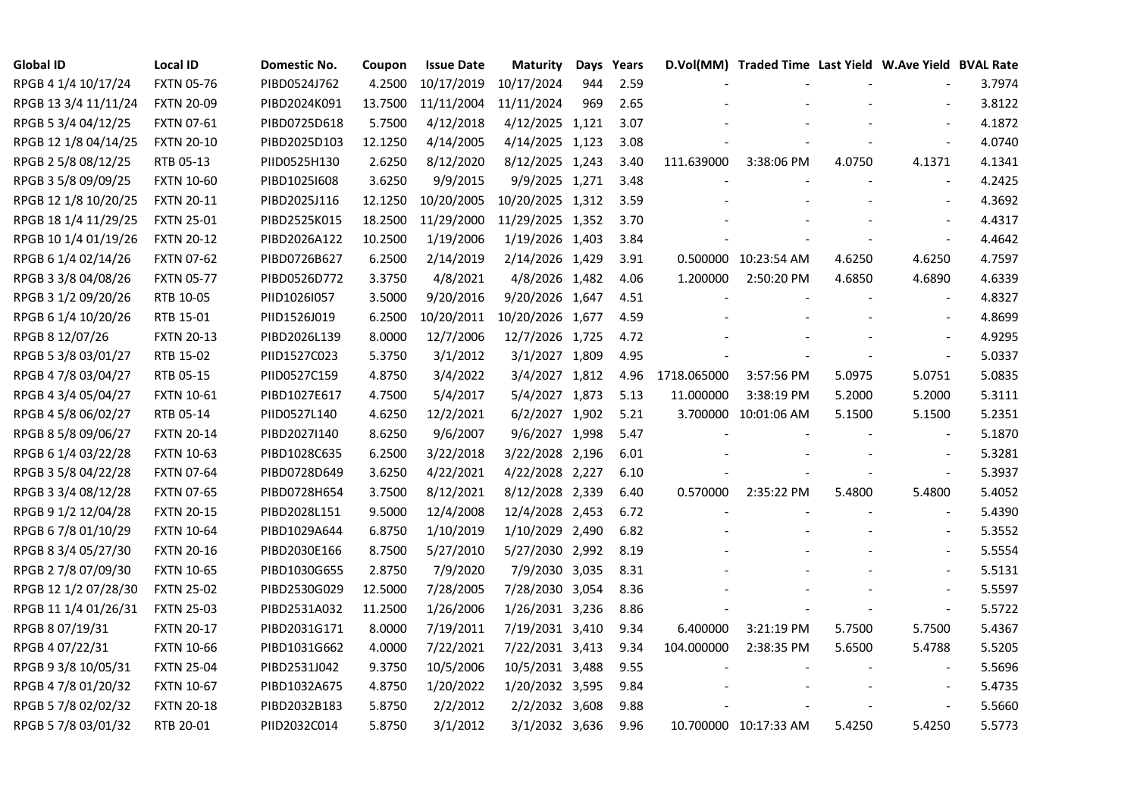| <b>Global ID</b>     | <b>Local ID</b>   | Domestic No. | Coupon  | <b>Issue Date</b> | <b>Maturity</b>  | Days | Years |             | D.Vol(MM) Traded Time Last Yield W.Ave Yield BVAL Rate |        |                          |        |
|----------------------|-------------------|--------------|---------|-------------------|------------------|------|-------|-------------|--------------------------------------------------------|--------|--------------------------|--------|
| RPGB 4 1/4 10/17/24  | <b>FXTN 05-76</b> | PIBD0524J762 | 4.2500  | 10/17/2019        | 10/17/2024       | 944  | 2.59  |             |                                                        |        |                          | 3.7974 |
| RPGB 13 3/4 11/11/24 | <b>FXTN 20-09</b> | PIBD2024K091 | 13.7500 | 11/11/2004        | 11/11/2024       | 969  | 2.65  |             |                                                        |        |                          | 3.8122 |
| RPGB 5 3/4 04/12/25  | FXTN 07-61        | PIBD0725D618 | 5.7500  | 4/12/2018         | 4/12/2025 1,121  |      | 3.07  |             |                                                        |        | $\blacksquare$           | 4.1872 |
| RPGB 12 1/8 04/14/25 | <b>FXTN 20-10</b> | PIBD2025D103 | 12.1250 | 4/14/2005         | 4/14/2025 1,123  |      | 3.08  |             |                                                        |        | $\blacksquare$           | 4.0740 |
| RPGB 2 5/8 08/12/25  | RTB 05-13         | PIID0525H130 | 2.6250  | 8/12/2020         | 8/12/2025 1,243  |      | 3.40  | 111.639000  | 3:38:06 PM                                             | 4.0750 | 4.1371                   | 4.1341 |
| RPGB 3 5/8 09/09/25  | <b>FXTN 10-60</b> | PIBD10251608 | 3.6250  | 9/9/2015          | 9/9/2025 1,271   |      | 3.48  |             |                                                        |        | $\sim$                   | 4.2425 |
| RPGB 12 1/8 10/20/25 | <b>FXTN 20-11</b> | PIBD2025J116 | 12.1250 | 10/20/2005        | 10/20/2025 1,312 |      | 3.59  |             |                                                        |        | $\overline{\phantom{a}}$ | 4.3692 |
| RPGB 18 1/4 11/29/25 | <b>FXTN 25-01</b> | PIBD2525K015 | 18.2500 | 11/29/2000        | 11/29/2025 1,352 |      | 3.70  |             |                                                        |        |                          | 4.4317 |
| RPGB 10 1/4 01/19/26 | <b>FXTN 20-12</b> | PIBD2026A122 | 10.2500 | 1/19/2006         | 1/19/2026 1,403  |      | 3.84  |             |                                                        |        |                          | 4.4642 |
| RPGB 6 1/4 02/14/26  | <b>FXTN 07-62</b> | PIBD0726B627 | 6.2500  | 2/14/2019         | 2/14/2026 1,429  |      | 3.91  |             | 0.500000 10:23:54 AM                                   | 4.6250 | 4.6250                   | 4.7597 |
| RPGB 3 3/8 04/08/26  | <b>FXTN 05-77</b> | PIBD0526D772 | 3.3750  | 4/8/2021          | 4/8/2026 1,482   |      | 4.06  | 1.200000    | 2:50:20 PM                                             | 4.6850 | 4.6890                   | 4.6339 |
| RPGB 3 1/2 09/20/26  | RTB 10-05         | PIID1026I057 | 3.5000  | 9/20/2016         | 9/20/2026 1,647  |      | 4.51  |             |                                                        |        | $\blacksquare$           | 4.8327 |
| RPGB 6 1/4 10/20/26  | RTB 15-01         | PIID1526J019 | 6.2500  | 10/20/2011        | 10/20/2026 1,677 |      | 4.59  |             |                                                        |        |                          | 4.8699 |
| RPGB 8 12/07/26      | <b>FXTN 20-13</b> | PIBD2026L139 | 8.0000  | 12/7/2006         | 12/7/2026 1,725  |      | 4.72  |             |                                                        |        | $\sim$                   | 4.9295 |
| RPGB 5 3/8 03/01/27  | RTB 15-02         | PIID1527C023 | 5.3750  | 3/1/2012          | 3/1/2027 1,809   |      | 4.95  |             |                                                        |        | $\overline{\phantom{a}}$ | 5.0337 |
| RPGB 4 7/8 03/04/27  | RTB 05-15         | PIID0527C159 | 4.8750  | 3/4/2022          | 3/4/2027 1,812   |      | 4.96  | 1718.065000 | 3:57:56 PM                                             | 5.0975 | 5.0751                   | 5.0835 |
| RPGB 4 3/4 05/04/27  | FXTN 10-61        | PIBD1027E617 | 4.7500  | 5/4/2017          | 5/4/2027 1,873   |      | 5.13  | 11.000000   | 3:38:19 PM                                             | 5.2000 | 5.2000                   | 5.3111 |
| RPGB 4 5/8 06/02/27  | RTB 05-14         | PIID0527L140 | 4.6250  | 12/2/2021         | 6/2/2027 1,902   |      | 5.21  |             | 3.700000 10:01:06 AM                                   | 5.1500 | 5.1500                   | 5.2351 |
| RPGB 8 5/8 09/06/27  | <b>FXTN 20-14</b> | PIBD2027I140 | 8.6250  | 9/6/2007          | 9/6/2027 1,998   |      | 5.47  |             |                                                        |        | $\overline{\phantom{a}}$ | 5.1870 |
| RPGB 6 1/4 03/22/28  | <b>FXTN 10-63</b> | PIBD1028C635 | 6.2500  | 3/22/2018         | 3/22/2028 2,196  |      | 6.01  |             |                                                        |        | $\blacksquare$           | 5.3281 |
| RPGB 3 5/8 04/22/28  | <b>FXTN 07-64</b> | PIBD0728D649 | 3.6250  | 4/22/2021         | 4/22/2028 2,227  |      | 6.10  |             |                                                        |        | $\sim$                   | 5.3937 |
| RPGB 3 3/4 08/12/28  | <b>FXTN 07-65</b> | PIBD0728H654 | 3.7500  | 8/12/2021         | 8/12/2028 2,339  |      | 6.40  | 0.570000    | 2:35:22 PM                                             | 5.4800 | 5.4800                   | 5.4052 |
| RPGB 9 1/2 12/04/28  | <b>FXTN 20-15</b> | PIBD2028L151 | 9.5000  | 12/4/2008         | 12/4/2028 2,453  |      | 6.72  |             |                                                        |        |                          | 5.4390 |
| RPGB 67/8 01/10/29   | <b>FXTN 10-64</b> | PIBD1029A644 | 6.8750  | 1/10/2019         | 1/10/2029 2,490  |      | 6.82  |             |                                                        |        |                          | 5.3552 |
| RPGB 8 3/4 05/27/30  | <b>FXTN 20-16</b> | PIBD2030E166 | 8.7500  | 5/27/2010         | 5/27/2030 2,992  |      | 8.19  |             |                                                        |        | $\overline{\phantom{a}}$ | 5.5554 |
| RPGB 2 7/8 07/09/30  | <b>FXTN 10-65</b> | PIBD1030G655 | 2.8750  | 7/9/2020          | 7/9/2030 3,035   |      | 8.31  |             |                                                        |        |                          | 5.5131 |
| RPGB 12 1/2 07/28/30 | <b>FXTN 25-02</b> | PIBD2530G029 | 12.5000 | 7/28/2005         | 7/28/2030 3,054  |      | 8.36  |             |                                                        |        | $\overline{\phantom{a}}$ | 5.5597 |
| RPGB 11 1/4 01/26/31 | <b>FXTN 25-03</b> | PIBD2531A032 | 11.2500 | 1/26/2006         | 1/26/2031 3,236  |      | 8.86  |             |                                                        |        | $\omega$                 | 5.5722 |
| RPGB 8 07/19/31      | <b>FXTN 20-17</b> | PIBD2031G171 | 8.0000  | 7/19/2011         | 7/19/2031 3,410  |      | 9.34  | 6.400000    | 3:21:19 PM                                             | 5.7500 | 5.7500                   | 5.4367 |
| RPGB 4 07/22/31      | <b>FXTN 10-66</b> | PIBD1031G662 | 4.0000  | 7/22/2021         | 7/22/2031 3,413  |      | 9.34  | 104.000000  | 2:38:35 PM                                             | 5.6500 | 5.4788                   | 5.5205 |
| RPGB 9 3/8 10/05/31  | <b>FXTN 25-04</b> | PIBD2531J042 | 9.3750  | 10/5/2006         | 10/5/2031 3,488  |      | 9.55  |             |                                                        |        |                          | 5.5696 |
| RPGB 4 7/8 01/20/32  | <b>FXTN 10-67</b> | PIBD1032A675 | 4.8750  | 1/20/2022         | 1/20/2032 3,595  |      | 9.84  |             |                                                        |        | $\blacksquare$           | 5.4735 |
| RPGB 5 7/8 02/02/32  | <b>FXTN 20-18</b> | PIBD2032B183 | 5.8750  | 2/2/2012          | 2/2/2032 3,608   |      | 9.88  |             |                                                        |        |                          | 5.5660 |
| RPGB 5 7/8 03/01/32  | RTB 20-01         | PIID2032C014 | 5.8750  | 3/1/2012          | 3/1/2032 3,636   |      | 9.96  |             | 10.700000 10:17:33 AM                                  | 5.4250 | 5.4250                   | 5.5773 |